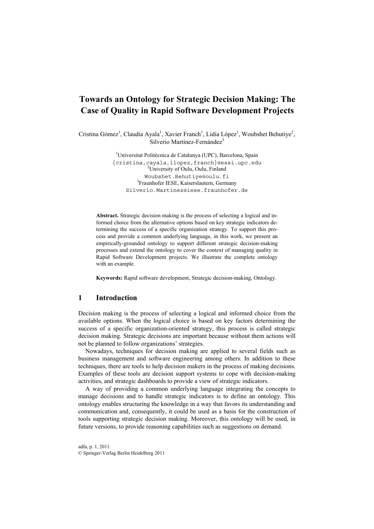# **Towards an Ontology for Strategic Decision Making: The Case of Quality in Rapid Software Development Projects**

Cristina Gómez<sup>1</sup>, Claudia Ayala<sup>1</sup>, Xavier Franch<sup>1</sup>, Lidia López<sup>1</sup>, Woubshet Behutiye<sup>2</sup>, Silverio Martínez-Fernández<sup>3</sup>

> <sup>1</sup>Universitat Politècnica de Catalunya (UPC), Barcelona, Spain {cristina,cayala,llopez,franch}@essi.upc.edu <sup>2</sup> <sup>2</sup>University of Oulu, Oulu, Finland Woubshet.Behutiye@oulu.fi <sup>3</sup> Fraunhofer IESE, Kaiserslautern, Germany Silverio.Martinez@iese.fraunhofer.de

**Abstract.** Strategic decision making is the process of selecting a logical and informed choice from the alternative options based on key strategic indicators determining the success of a specific organization strategy. To support this process and provide a common underlying language, in this work, we present an empirically-grounded ontology to support different strategic decision-making processes and extend the ontology to cover the context of managing quality in Rapid Software Development projects. We illustrate the complete ontology with an example.

**Keywords:** Rapid software development, Strategic decision-making, Ontology.

# **1 Introduction**

Decision making is the process of selecting a logical and informed choice from the available options. When the logical choice is based on key factors determining the success of a specific organization-oriented strategy, this process is called strategic decision making. Strategic decisions are important because without them actions will not be planned to follow organizations' strategies.

Nowadays, techniques for decision making are applied to several fields such as business management and software engineering among others. In addition to these techniques, there are tools to help decision makers in the process of making decisions. Examples of these tools are decision support systems to cope with decision-making activities, and strategic dashboards to provide a view of strategic indicators.

A way of providing a common underlying language integrating the concepts to manage decisions and to handle strategic indicators is to define an ontology. This ontology enables structuring the knowledge in a way that favors its understanding and communication and, consequently, it could be used as a basis for the construction of tools supporting strategic decision making. Moreover, this ontology will be used, in future versions, to provide reasoning capabilities such as suggestions on demand.

adfa, p. 1, 2011. © Springer-Verlag Berlin Heidelberg 2011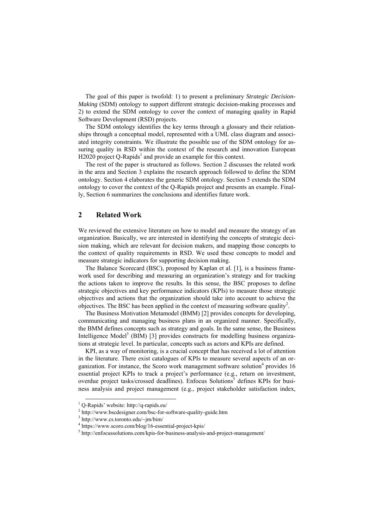The goal of this paper is twofold: 1) to present a preliminary *Strategic Decision-Making* (SDM) ontology to support different strategic decision-making processes and 2) to extend the SDM ontology to cover the context of managing quality in Rapid Software Development (RSD) projects.

The SDM ontology identifies the key terms through a glossary and their relationships through a conceptual model, represented with a UML class diagram and associated integrity constraints. We illustrate the possible use of the SDM ontology for assuring quality in RSD within the context of the research and innovation European  $H2020$  project Q-Rapids<sup>1</sup> and provide an example for this context.

The rest of the paper is structured as follows. Section 2 discusses the related work in the area and Section 3 explains the research approach followed to define the SDM ontology. Section 4 elaborates the generic SDM ontology. Section 5 extends the SDM ontology to cover the context of the Q-Rapids project and presents an example. Finally, Section 6 summarizes the conclusions and identifies future work.

# **2 Related Work**

We reviewed the extensive literature on how to model and measure the strategy of an organization. Basically, we are interested in identifying the concepts of strategic decision making, which are relevant for decision makers, and mapping those concepts to the context of quality requirements in RSD. We used these concepts to model and measure strategic indicators for supporting decision making.

The Balance Scorecard (BSC), proposed by Kaplan et al. [1], is a business framework used for describing and measuring an organization's strategy and for tracking the actions taken to improve the results. In this sense, the BSC proposes to define strategic objectives and key performance indicators (KPIs) to measure those strategic objectives and actions that the organization should take into account to achieve the objectives. The BSC has been applied in the context of measuring software quality<sup>2</sup>.

The Business Motivation Metamodel (BMM) [2] provides concepts for developing, communicating and managing business plans in an organized manner. Specifically, the BMM defines concepts such as strategy and goals. In the same sense, the Business Intelligence Model<sup>3</sup> (BIM) [3] provides constructs for modelling business organizations at strategic level. In particular, concepts such as actors and KPIs are defined.

KPI, as a way of monitoring, is a crucial concept that has received a lot of attention in the literature. There exist catalogues of KPIs to measure several aspects of an organization. For instance, the Scoro work management software solution<sup>4</sup> provides 16 essential project KPIs to track a project's performance (e.g., return on investment, overdue project tasks/crossed deadlines). Enfocus Solutions<sup>5</sup> defines KPIs for business analysis and project management (e.g., project stakeholder satisfaction index,

 <sup>1</sup> Q-Rapids' website: http://q-rapids.eu/

<sup>&</sup>lt;sup>2</sup> http://www.bscdesigner.com/bsc-for-software-quality-guide.htm  $\frac{3}{3}$  http://www.cs toronto.odu/.im/him/

 $\frac{3 \text{ http://www.cs.toronto.edu/~jm/bin/}}{}$ 

<sup>&</sup>lt;sup>4</sup> https://www.scoro.com/blog/16-essential-project-kpis/<br><sup>5</sup> http://orfogueselutions.com/kpis\_for\_business\_anglusis\_

 $5$  http://enfocussolutions.com/kpis-for-business-analysis-and-project-management/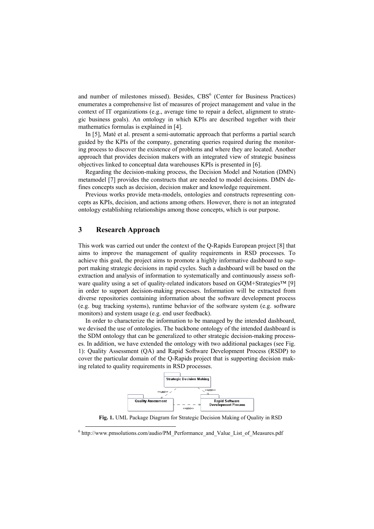and number of milestones missed). Besides,  $CBS<sup>6</sup>$  (Center for Business Practices) enumerates a comprehensive list of measures of project management and value in the context of IT organizations (e.g., average time to repair a defect, alignment to strategic business goals). An ontology in which KPIs are described together with their mathematics formulas is explained in [4].

In [5], Maté et al. present a semi-automatic approach that performs a partial search guided by the KPIs of the company, generating queries required during the monitoring process to discover the existence of problems and where they are located. Another approach that provides decision makers with an integrated view of strategic business objectives linked to conceptual data warehouses KPIs is presented in [6].

Regarding the decision-making process, the Decision Model and Notation (DMN) metamodel [7] provides the constructs that are needed to model decisions. DMN defines concepts such as decision, decision maker and knowledge requirement.

Previous works provide meta-models, ontologies and constructs representing concepts as KPIs, decision, and actions among others. However, there is not an integrated ontology establishing relationships among those concepts, which is our purpose.

# **3 Research Approach**

This work was carried out under the context of the Q-Rapids European project [8] that aims to improve the management of quality requirements in RSD processes. To achieve this goal, the project aims to promote a highly informative dashboard to support making strategic decisions in rapid cycles. Such a dashboard will be based on the extraction and analysis of information to systematically and continuously assess software quality using a set of quality-related indicators based on GQM+Strategies™ [9] in order to support decision-making processes. Information will be extracted from diverse repositories containing information about the software development process (e.g. bug tracking systems), runtime behavior of the software system (e.g. software monitors) and system usage (e.g. end user feedback).

In order to characterize the information to be managed by the intended dashboard, we devised the use of ontologies. The backbone ontology of the intended dashboard is the SDM ontology that can be generalized to other strategic decision-making processes. In addition, we have extended the ontology with two additional packages (see Fig. 1): Quality Assessment (QA) and Rapid Software Development Process (RSDP) to cover the particular domain of the Q-Rapids project that is supporting decision making related to quality requirements in RSD processes.



**Fig. 1.** UML Package Diagram for Strategic Decision Making of Quality in RSD

<sup>6&</sup>lt;br>
http://www.pmsolutions.com/audio/PM\_Performance\_and\_Value\_List\_of\_Measures.pdf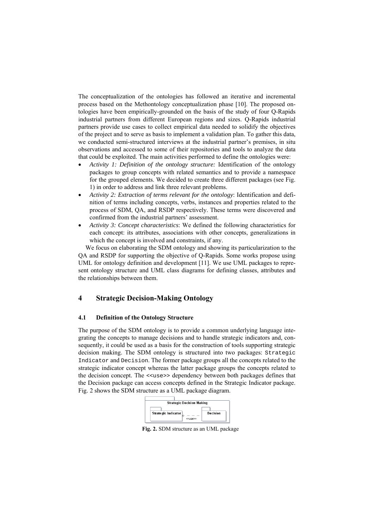The conceptualization of the ontologies has followed an iterative and incremental process based on the Methontology conceptualization phase [10]. The proposed ontologies have been empirically-grounded on the basis of the study of four Q-Rapids industrial partners from different European regions and sizes. Q-Rapids industrial partners provide use cases to collect empirical data needed to solidify the objectives of the project and to serve as basis to implement a validation plan. To gather this data, we conducted semi-structured interviews at the industrial partner's premises, in situ observations and accessed to some of their repositories and tools to analyze the data that could be exploited. The main activities performed to define the ontologies were:

- *Activity 1: Definition of the ontology structure:* Identification of the ontology packages to group concepts with related semantics and to provide a namespace for the grouped elements. We decided to create three different packages (see Fig. 1) in order to address and link three relevant problems.
- *Activity 2: Extraction of terms relevant for the ontology*: Identification and definition of terms including concepts, verbs, instances and properties related to the process of SDM, QA, and RSDP respectively. These terms were discovered and confirmed from the industrial partners' assessment.
- *Activity 3: Concept characteristics*: We defined the following characteristics for each concept: its attributes, associations with other concepts, generalizations in which the concept is involved and constraints, if any.

We focus on elaborating the SDM ontology and showing its particularization to the QA and RSDP for supporting the objective of Q-Rapids. Some works propose using UML for ontology definition and development [11]. We use UML packages to represent ontology structure and UML class diagrams for defining classes, attributes and the relationships between them.

# **4 Strategic Decision-Making Ontology**

#### **4.1 Definition of the Ontology Structure**

The purpose of the SDM ontology is to provide a common underlying language integrating the concepts to manage decisions and to handle strategic indicators and, consequently, it could be used as a basis for the construction of tools supporting strategic decision making. The SDM ontology is structured into two packages: Strategic Indicator and Decision. The former package groups all the concepts related to the strategic indicator concept whereas the latter package groups the concepts related to the decision concept. The <<use>> dependency between both packages defines that the Decision package can access concepts defined in the Strategic Indicator package. Fig. 2 shows the SDM structure as a UML package diagram.



**Fig. 2.** SDM structure as an UML package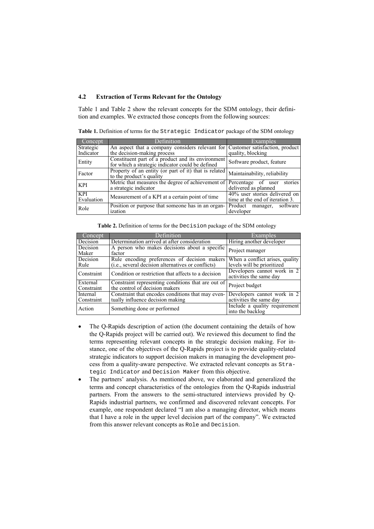#### **4.2 Extraction of Terms Relevant for the Ontology**

Table 1 and Table 2 show the relevant concepts for the SDM ontology, their definition and examples. We extracted those concepts from the following sources:

**Table 1.** Definition of terms for the Strategic Indicator package of the SDM ontology

| Concept                  | Definition                                                                                                    | Examples                                                         |
|--------------------------|---------------------------------------------------------------------------------------------------------------|------------------------------------------------------------------|
| Strategic<br>Indicator   | An aspect that a company considers relevant for Customer satisfaction, product<br>the decision-making process | quality, blocking                                                |
| Entity                   | Constituent part of a product and its environment<br>for which a strategic indicator could be defined         | Software product, feature                                        |
| Factor                   | Property of an entity (or part of it) that is related<br>to the product's quality                             | Maintainability, reliability                                     |
| <b>KPI</b>               | Metric that measures the degree of achievement of Percentage of user<br>a strategic indicator                 | stories<br>delivered as planned                                  |
| <b>KPI</b><br>Evaluation | Measurement of a KPI at a certain point of time                                                               | 40% user stories delivered on<br>time at the end of iteration 3. |
| Role                     | Position or purpose that someone has in an organ-<br>ization                                                  | Product manager, software<br>developer                           |

| Table 2. Definition of terms for the Decision package of the SDM ontology |  |  |  |  |
|---------------------------------------------------------------------------|--|--|--|--|
|---------------------------------------------------------------------------|--|--|--|--|

| Concept                | Definition                                                                                         | Examples                                                      |
|------------------------|----------------------------------------------------------------------------------------------------|---------------------------------------------------------------|
| Decision               | Determination arrived at after consideration                                                       | Hiring another developer                                      |
| Decision<br>Maker      | A person who makes decisions about a specific<br>factor                                            | Project manager                                               |
| Decision<br>Rule       | Rule encoding preferences of decision makers<br>(i.e., several decision alternatives or conflicts) | When a conflict arises, quality<br>levels will be prioritized |
| Constraint             | Condition or restriction that affects to a decision                                                | Developers cannot work in 2<br>activities the same day        |
| External<br>Constraint | Constraint representing conditions that are out of<br>the control of decision makers               | Project budget                                                |
| Internal<br>Constraint | Constraint that encodes conditions that may even-<br>tually influence decision making              | Developers cannot work in 2<br>activities the same day        |
| Action                 | Something done or performed                                                                        | Include a quality requirement<br>into the backlog             |

- The Q-Rapids description of action (the document containing the details of how the Q-Rapids project will be carried out). We reviewed this document to find the terms representing relevant concepts in the strategic decision making. For instance, one of the objectives of the Q-Rapids project is to provide quality-related strategic indicators to support decision makers in managing the development process from a quality-aware perspective. We extracted relevant concepts as Strategic Indicator and Decision Maker from this objective.
- The partners' analysis. As mentioned above, we elaborated and generalized the terms and concept characteristics of the ontologies from the Q-Rapids industrial partners. From the answers to the semi-structured interviews provided by Q-Rapids industrial partners, we confirmed and discovered relevant concepts. For example, one respondent declared "I am also a managing director, which means that I have a role in the upper level decision part of the company". We extracted from this answer relevant concepts as Role and Decision.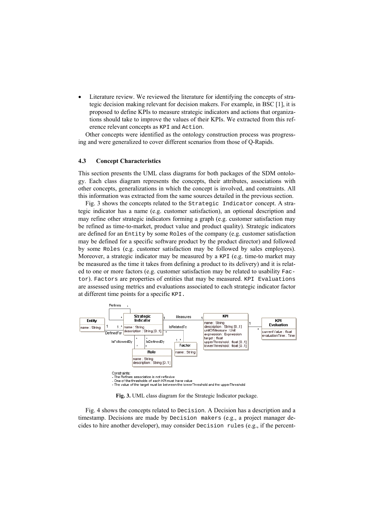Literature review. We reviewed the literature for identifying the concepts of strategic decision making relevant for decision makers. For example, in BSC [1], it is proposed to define KPIs to measure strategic indicators and actions that organizations should take to improve the values of their KPIs. We extracted from this reference relevant concepts as KPI and Action.

Other concepts were identified as the ontology construction process was progressing and were generalized to cover different scenarios from those of Q-Rapids.

### **4.3 Concept Characteristics**

This section presents the UML class diagrams for both packages of the SDM ontology. Each class diagram represents the concepts, their attributes, associations with other concepts, generalizations in which the concept is involved, and constraints. All this information was extracted from the same sources detailed in the previous section.

Fig. 3 shows the concepts related to the Strategic Indicator concept. A strategic indicator has a name (e.g. customer satisfaction), an optional description and may refine other strategic indicators forming a graph (e.g. customer satisfaction may be refined as time-to-market, product value and product quality). Strategic indicators are defined for an Entity by some Roles of the company (e.g. customer satisfaction may be defined for a specific software product by the product director) and followed by some Roles (e.g. customer satisfaction may be followed by sales employees). Moreover, a strategic indicator may be measured by a KPI (e.g. time-to market may be measured as the time it takes from defining a product to its delivery) and it is related to one or more factors (e.g. customer satisfaction may be related to usability Factor). Factors are properties of entities that may be measured. KPI Evaluations are assessed using metrics and evaluations associated to each strategic indicator factor at different time points for a specific KPI.



**Fig. 3.** UML class diagram for the Strategic Indicator package.

Fig. 4 shows the concepts related to Decision. A Decision has a description and a timestamp. Decisions are made by Decision makers (e.g., a project manager decides to hire another developer), may consider Decision rules (e.g., if the percent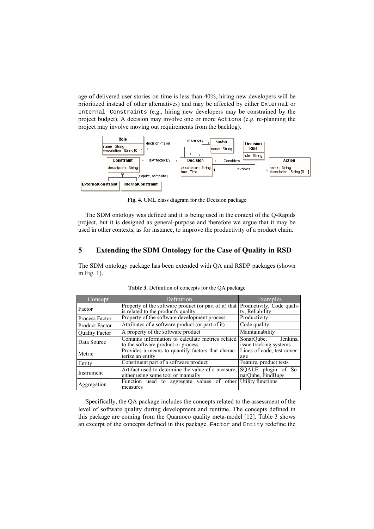age of delivered user stories on time is less than 40%, hiring new developers will be prioritized instead of other alternatives) and may be affected by either External or Internal Constraints (e.g., hiring new developers may be constrained by the project budget). A decision may involve one or more Actions (e.g. re-planning the project may involve moving out requirements from the backlog).



**Fig. 4.** UML class diagram for the Decision package

The SDM ontology was defined and it is being used in the context of the Q-Rapids project, but it is designed as general-purpose and therefore we argue that it may be used in other contexts, as for instance, to improve the productivity of a product chain.

# **5 Extending the SDM Ontology for the Case of Quality in RSD**

The SDM ontology package has been extended with QA and RSDP packages (shown in Fig. 1).

| Concept               | Definition                                                                                   | Examples                                         |
|-----------------------|----------------------------------------------------------------------------------------------|--------------------------------------------------|
| Factor                | Property of the software product (or part of it) that<br>is related to the product's quality | Productivity, Code quali-<br>ty, Reliability     |
| Process Factor        | Property of the software development process                                                 | Productivity                                     |
| <b>Product Factor</b> | Attributes of a software product (or part of it)                                             | Code quality                                     |
| <b>Quality Factor</b> | A property of the software product                                                           | Maintainability                                  |
| Data Source           | Contains information to calculate metrics related<br>to the software product or process      | Jenkins,<br>SonarOube,<br>issue tracking systems |
| Metric                | Provides a means to quantify factors that charac-<br>terize an entity                        | Lines of code, test cover-<br>age                |
| Entity                | Constituent part of a software product                                                       | Feature, product tests                           |
| Instrument            | Artifact used to determine the value of a measure,<br>either using some tool or manually     | SQALE plugin of So-<br>narQube, FindBugs         |
| Aggregation           | Function used to aggregate values of other Utility functions<br>measures                     |                                                  |

**Table 3.** Definition of concepts for the QA package

Specifically, the QA package includes the concepts related to the assessment of the level of software quality during development and runtime. The concepts defined in this package are coming from the Quamoco quality meta-model [12]. Table 3 shows an excerpt of the concepts defined in this package. Factor and Entity redefine the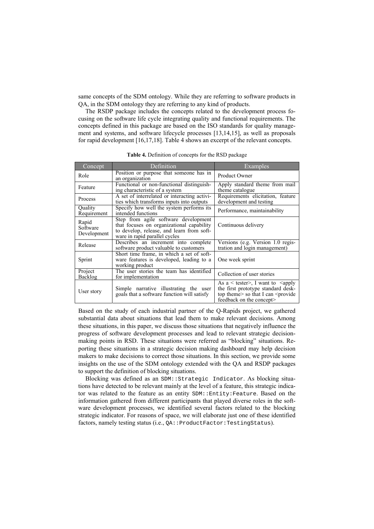same concepts of the SDM ontology. While they are referring to software products in QA, in the SDM ontology they are referring to any kind of products.

The RSDP package includes the concepts related to the development process focusing on the software life cycle integrating quality and functional requirements. The concepts defined in this package are based on the ISO standards for quality management and systems, and software lifecycle processes [13,14,15], as well as proposals for rapid development [16,17,18]. Table 4 shows an excerpt of the relevant concepts.

| Concept                          | Definition                                                                                                                                                      | Examples                                                                                                                                                           |
|----------------------------------|-----------------------------------------------------------------------------------------------------------------------------------------------------------------|--------------------------------------------------------------------------------------------------------------------------------------------------------------------|
| Role                             | Position or purpose that someone has in<br>an organization                                                                                                      | Product Owner                                                                                                                                                      |
| Feature                          | Functional or non-functional distinguish-<br>ing characteristic of a system                                                                                     | Apply standard theme from mail<br>theme catalogue                                                                                                                  |
| Process                          | A set of interrelated or interacting activi-<br>ties which transforms inputs into outputs                                                                       | Requirements elicitation, feature<br>development and testing                                                                                                       |
| Quality<br>Requirement           | Specify how well the system performs its<br>intended functions                                                                                                  | Performance, maintainability                                                                                                                                       |
| Rapid<br>Software<br>Development | Step from agile software development<br>that focuses on organizational capability<br>to develop, release, and learn from soft-<br>ware in rapid parallel cycles | Continuous delivery                                                                                                                                                |
| Release                          | Describes an increment into complete<br>software product valuable to customers                                                                                  | Versions (e.g. Version $1.\overline{0}$ regis-<br>tration and login management)                                                                                    |
| Sprint                           | Short time frame, in which a set of soft-<br>ware features is developed, leading to a<br>working product                                                        | One week sprint                                                                                                                                                    |
| Project<br>Backlog               | The user stories the team has identified<br>for implementation                                                                                                  | Collection of user stories                                                                                                                                         |
| User story                       | Simple narrative illustrating the user<br>goals that a software function will satisfy                                                                           | As $a \leq tester$ , I want to $\leq$ apply<br>the first prototype standard desk-<br>top theme> so that I can <provide<br>feedback on the concept&gt;</provide<br> |

**Table 4.** Definition of concepts for the RSD package

Based on the study of each industrial partner of the Q-Rapids project, we gathered substantial data about situations that lead them to make relevant decisions. Among these situations, in this paper, we discuss those situations that negatively influence the progress of software development processes and lead to relevant strategic decisionmaking points in RSD. These situations were referred as "blocking" situations. Reporting these situations in a strategic decision making dashboard may help decision makers to make decisions to correct those situations. In this section, we provide some insights on the use of the SDM ontology extended with the QA and RSDP packages to support the definition of blocking situations.

Blocking was defined as an SDM::Strategic Indicator. As blocking situations have detected to be relevant mainly at the level of a feature, this strategic indicator was related to the feature as an entity SDM::Entity:Feature. Based on the information gathered from different participants that played diverse roles in the software development processes, we identified several factors related to the blocking strategic indicator. For reasons of space, we will elaborate just one of these identified factors, namely testing status (i.e., QA::ProductFactor:TestingStatus).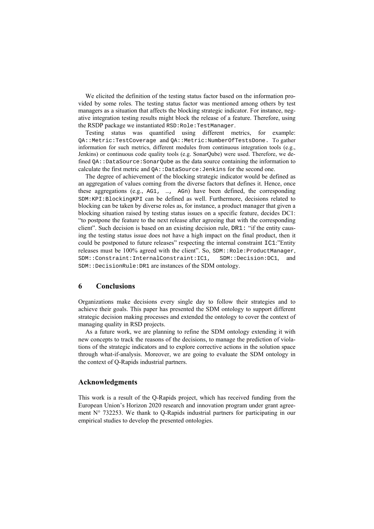We elicited the definition of the testing status factor based on the information provided by some roles. The testing status factor was mentioned among others by test managers as a situation that affects the blocking strategic indicator. For instance, negative integration testing results might block the release of a feature. Therefore, using the RSDP package we instantiated RSD:Role:TestManager.

Testing status was quantified using different metrics, for example: QA::Metric:TestCoverage and QA::Metric:NumberOfTestsDone. To gather information for such metrics, different modules from continuous integration tools (e.g., Jenkins) or continuous code quality tools (e.g. SonarQube) were used. Therefore, we defined QA::DataSource:SonarQube as the data source containing the information to calculate the first metric and  $QA::DataSource:Jenkins$  for the second one.

The degree of achievement of the blocking strategic indicator would be defined as an aggregation of values coming from the diverse factors that defines it. Hence, once these aggregations (e.g., AG1, …, AGn) have been defined, the corresponding SDM:KPI:BlockingKPI can be defined as well. Furthermore, decisions related to blocking can be taken by diverse roles as, for instance, a product manager that given a blocking situation raised by testing status issues on a specific feature, decides DC1: "to postpone the feature to the next release after agreeing that with the corresponding client". Such decision is based on an existing decision rule, DR1: "if the entity causing the testing status issue does not have a high impact on the final product, then it could be postponed to future releases" respecting the internal constraint IC1:"Entity releases must be 100% agreed with the client". So, SDM::Role:ProductManager, SDM::Constraint:InternalConstraint:IC1, SDM::Decision:DC1, and SDM::DecisionRule:DR1 are instances of the SDM ontology.

# **6 Conclusions**

Organizations make decisions every single day to follow their strategies and to achieve their goals. This paper has presented the SDM ontology to support different strategic decision making processes and extended the ontology to cover the context of managing quality in RSD projects.

As a future work, we are planning to refine the SDM ontology extending it with new concepts to track the reasons of the decisions, to manage the prediction of violations of the strategic indicators and to explore corrective actions in the solution space through what-if-analysis. Moreover, we are going to evaluate the SDM ontology in the context of Q-Rapids industrial partners.

#### **Acknowledgments**

This work is a result of the Q-Rapids project, which has received funding from the European Union's Horizon 2020 research and innovation program under grant agreement N° 732253. We thank to Q-Rapids industrial partners for participating in our empirical studies to develop the presented ontologies.